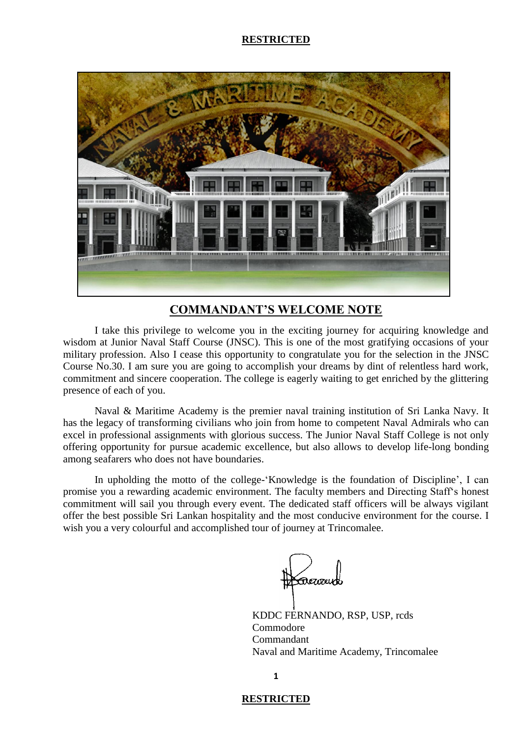

# **COMMANDANT'S WELCOME NOTE**

I take this privilege to welcome you in the exciting journey for acquiring knowledge and wisdom at Junior Naval Staff Course (JNSC). This is one of the most gratifying occasions of your military profession. Also I cease this opportunity to congratulate you for the selection in the JNSC Course No.30. I am sure you are going to accomplish your dreams by dint of relentless hard work, commitment and sincere cooperation. The college is eagerly waiting to get enriched by the glittering presence of each of you.

Naval & Maritime Academy is the premier naval training institution of Sri Lanka Navy. It has the legacy of transforming civilians who join from home to competent Naval Admirals who can excel in professional assignments with glorious success. The Junior Naval Staff College is not only offering opportunity for pursue academic excellence, but also allows to develop life-long bonding among seafarers who does not have boundaries.

In upholding the motto of the college-'Knowledge is the foundation of Discipline', I can promise you a rewarding academic environment. The faculty members and Directing Staff's honest commitment will sail you through every event. The dedicated staff officers will be always vigilant offer the best possible Sri Lankan hospitality and the most conducive environment for the course. I wish you a very colourful and accomplished tour of journey at Trincomalee.

/<br>Overveur

KDDC FERNANDO, RSP, USP, rcds Commodore Commandant Naval and Maritime Academy, Trincomalee

#### **1**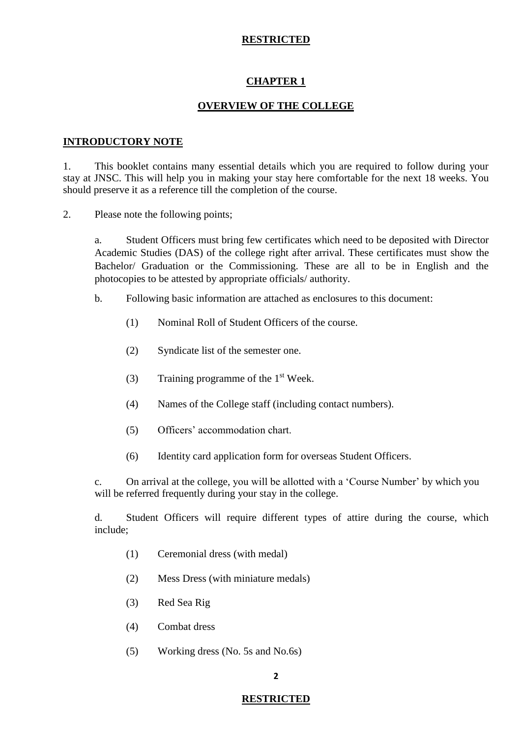## **CHAPTER 1**

### **OVERVIEW OF THE COLLEGE**

### **INTRODUCTORY NOTE**

1. This booklet contains many essential details which you are required to follow during your stay at JNSC. This will help you in making your stay here comfortable for the next 18 weeks. You should preserve it as a reference till the completion of the course.

2. Please note the following points;

a. Student Officers must bring few certificates which need to be deposited with Director Academic Studies (DAS) of the college right after arrival. These certificates must show the Bachelor/ Graduation or the Commissioning. These are all to be in English and the photocopies to be attested by appropriate officials/ authority.

- b. Following basic information are attached as enclosures to this document:
	- (1) Nominal Roll of Student Officers of the course.
	- (2) Syndicate list of the semester one.
	- (3) Training programme of the  $1<sup>st</sup>$  Week.
	- (4) Names of the College staff (including contact numbers).
	- (5) Officers' accommodation chart.
	- (6) Identity card application form for overseas Student Officers.

c. On arrival at the college, you will be allotted with a 'Course Number' by which you will be referred frequently during your stay in the college.

d. Student Officers will require different types of attire during the course, which include;

- (1) Ceremonial dress (with medal)
- (2) Mess Dress (with miniature medals)
- (3) Red Sea Rig
- (4) Combat dress
- (5) Working dress (No. 5s and No.6s)

#### **2**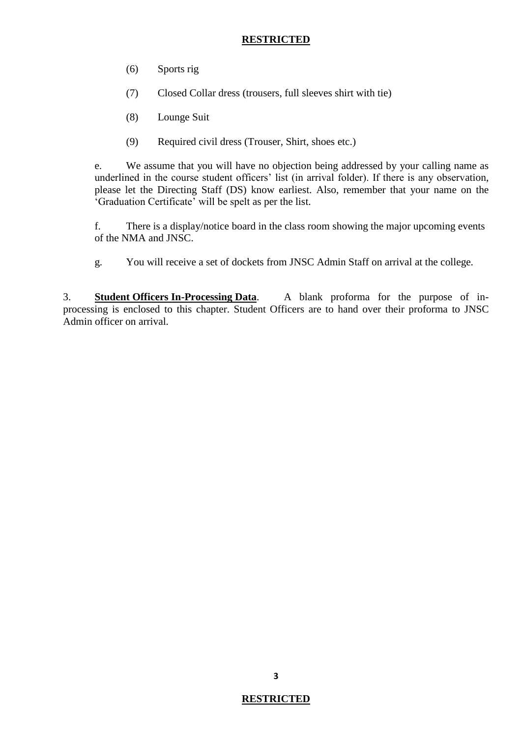- (6) Sports rig
- (7) Closed Collar dress (trousers, full sleeves shirt with tie)
- (8) Lounge Suit
- (9) Required civil dress (Trouser, Shirt, shoes etc.)

e. We assume that you will have no objection being addressed by your calling name as underlined in the course student officers' list (in arrival folder). If there is any observation, please let the Directing Staff (DS) know earliest. Also, remember that your name on the 'Graduation Certificate' will be spelt as per the list.

f. There is a display/notice board in the class room showing the major upcoming events of the NMA and JNSC.

g. You will receive a set of dockets from JNSC Admin Staff on arrival at the college.

3. **Student Officers In-Processing Data**. A blank proforma for the purpose of inprocessing is enclosed to this chapter. Student Officers are to hand over their proforma to JNSC Admin officer on arrival.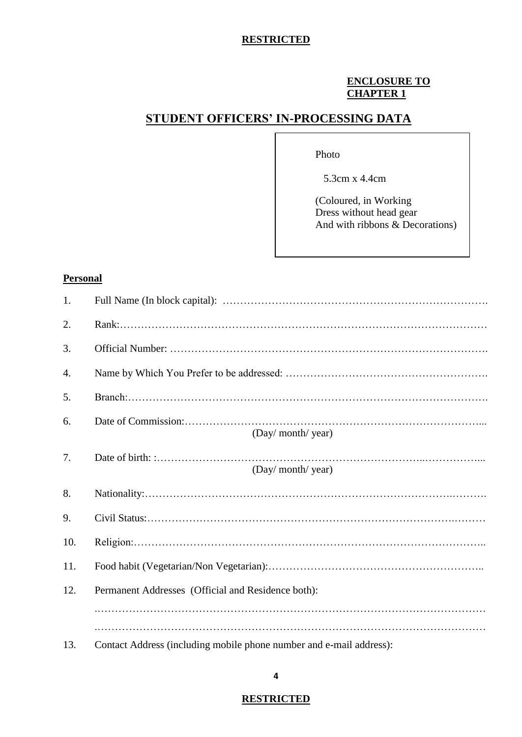## **ENCLOSURE TO CHAPTER 1**

# **STUDENT OFFICERS' IN-PROCESSING DATA**

#### Photo

5.3cm x 4.4cm

(Coloured, in Working Dress without head gear And with ribbons & Decorations)

#### **Personal**

| 1.  |                                                                     |
|-----|---------------------------------------------------------------------|
| 2.  |                                                                     |
| 3.  |                                                                     |
| 4.  |                                                                     |
| 5.  |                                                                     |
| 6.  | (Day/ month/ year)                                                  |
| 7.  | (Day/ month/ year)                                                  |
| 8.  |                                                                     |
| 9.  |                                                                     |
| 10. |                                                                     |
| 11. |                                                                     |
| 12. | Permanent Addresses (Official and Residence both):                  |
|     |                                                                     |
| 12  | Context Address (including mobils phone number and a moil address). |

13. Contact Address (including mobile phone number and e-mail address):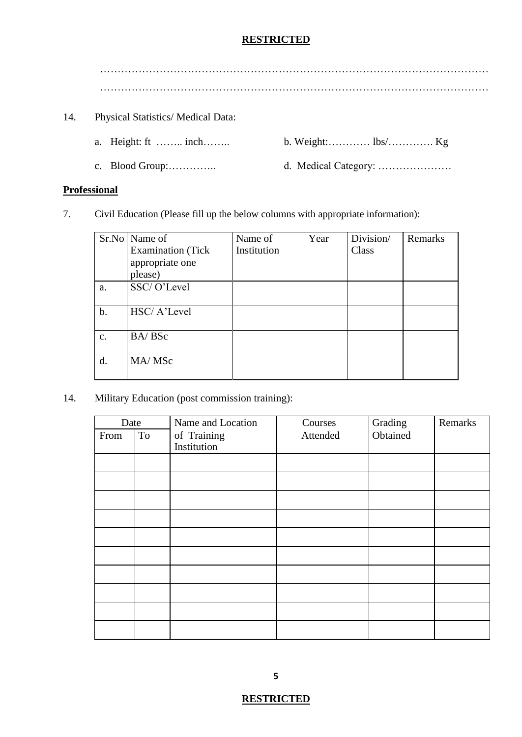………………………………………………………………………………………………… ………………………………………………………………………………………………… 14. Physical Statistics/ Medical Data: a. Height: ft …….. inch…….. b. Weight:………… lbs/…………. Kg c. Blood Group:………….. d. Medical Category: …………………

#### **Professional**

7. Civil Education (Please fill up the below columns with appropriate information):

|       | Sr.No Name of<br><b>Examination</b> (Tick<br>appropriate one<br>please) | Name of<br>Institution | Year | Division/<br>Class | Remarks |
|-------|-------------------------------------------------------------------------|------------------------|------|--------------------|---------|
| a.    | SSC/O'Level                                                             |                        |      |                    |         |
| $b$ . | HSC/A'Level                                                             |                        |      |                    |         |
| c.    | BA/BSc                                                                  |                        |      |                    |         |
| d.    | MA/MSc                                                                  |                        |      |                    |         |

14. Military Education (post commission training):

| Date |    | Name and Location | Courses  | Grading  | Remarks |
|------|----|-------------------|----------|----------|---------|
| From | To | of Training       | Attended | Obtained |         |
|      |    | Institution       |          |          |         |
|      |    |                   |          |          |         |
|      |    |                   |          |          |         |
|      |    |                   |          |          |         |
|      |    |                   |          |          |         |
|      |    |                   |          |          |         |
|      |    |                   |          |          |         |
|      |    |                   |          |          |         |
|      |    |                   |          |          |         |
|      |    |                   |          |          |         |
|      |    |                   |          |          |         |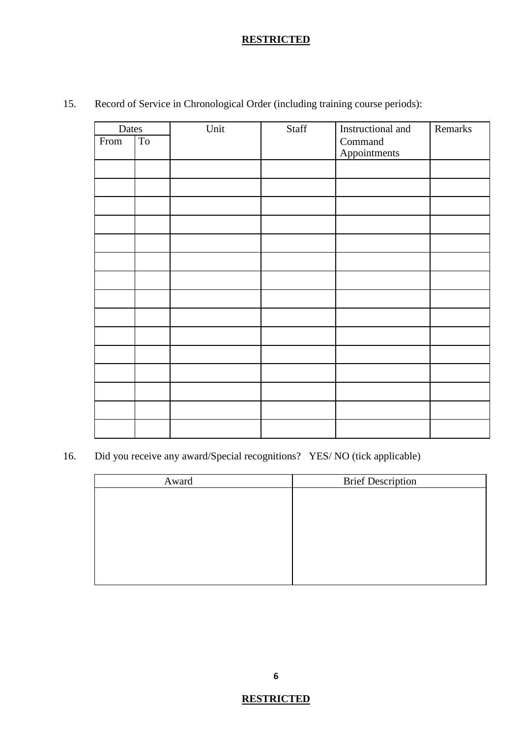| Dates |    | Unit | Staff | Instructional and       | Remarks |
|-------|----|------|-------|-------------------------|---------|
| From  | To |      |       | Command<br>Appointments |         |
|       |    |      |       |                         |         |
|       |    |      |       |                         |         |
|       |    |      |       |                         |         |
|       |    |      |       |                         |         |
|       |    |      |       |                         |         |
|       |    |      |       |                         |         |
|       |    |      |       |                         |         |
|       |    |      |       |                         |         |
|       |    |      |       |                         |         |
|       |    |      |       |                         |         |
|       |    |      |       |                         |         |
|       |    |      |       |                         |         |
|       |    |      |       |                         |         |
|       |    |      |       |                         |         |
|       |    |      |       |                         |         |

15. Record of Service in Chronological Order (including training course periods):

16. Did you receive any award/Special recognitions? YES/ NO (tick applicable)

| Award | <b>Brief Description</b> |
|-------|--------------------------|
|       |                          |
|       |                          |
|       |                          |
|       |                          |
|       |                          |
|       |                          |
|       |                          |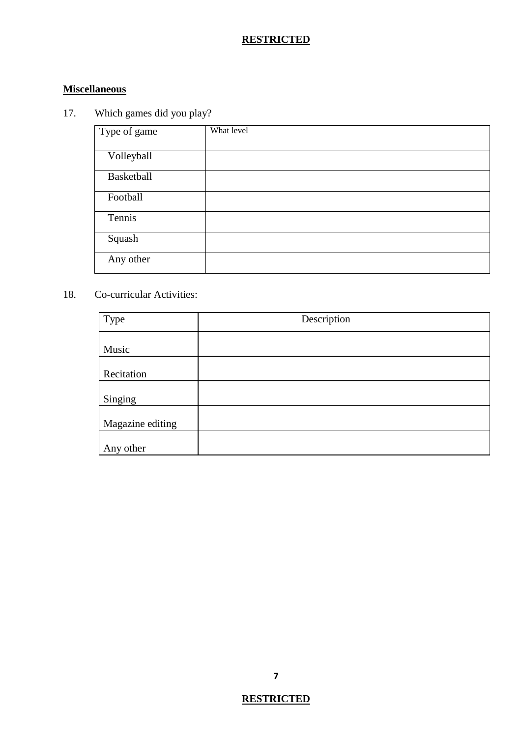# **Miscellaneous**

17. Which games did you play?

| Type of game | What level |
|--------------|------------|
| Volleyball   |            |
| Basketball   |            |
| Football     |            |
| Tennis       |            |
| Squash       |            |
| Any other    |            |

# 18. Co-curricular Activities:

| Type             | Description |
|------------------|-------------|
| Music            |             |
| Recitation       |             |
| Singing          |             |
| Magazine editing |             |
| Any other        |             |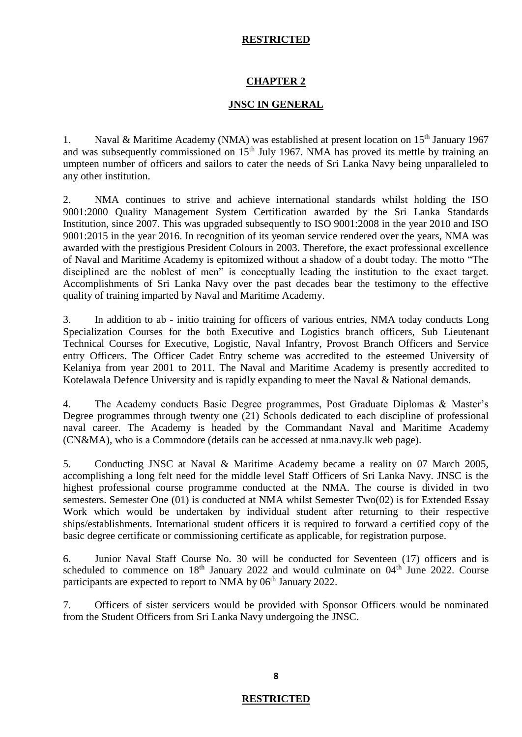## **CHAPTER 2**

#### **JNSC IN GENERAL**

1. Naval & Maritime Academy (NMA) was established at present location on 15<sup>th</sup> January 1967 and was subsequently commissioned on 15<sup>th</sup> July 1967. NMA has proved its mettle by training an umpteen number of officers and sailors to cater the needs of Sri Lanka Navy being unparalleled to any other institution.

2. NMA continues to strive and achieve international standards whilst holding the ISO 9001:2000 Quality Management System Certification awarded by the Sri Lanka Standards Institution, since 2007. This was upgraded subsequently to ISO 9001:2008 in the year 2010 and ISO 9001:2015 in the year 2016. In recognition of its yeoman service rendered over the years, NMA was awarded with the prestigious President Colours in 2003. Therefore, the exact professional excellence of Naval and Maritime Academy is epitomized without a shadow of a doubt today. The motto "The disciplined are the noblest of men" is conceptually leading the institution to the exact target. Accomplishments of Sri Lanka Navy over the past decades bear the testimony to the effective quality of training imparted by Naval and Maritime Academy.

3. In addition to ab - initio training for officers of various entries, NMA today conducts Long Specialization Courses for the both Executive and Logistics branch officers, Sub Lieutenant Technical Courses for Executive, Logistic, Naval Infantry, Provost Branch Officers and Service entry Officers. The Officer Cadet Entry scheme was accredited to the esteemed University of Kelaniya from year 2001 to 2011. The Naval and Maritime Academy is presently accredited to Kotelawala Defence University and is rapidly expanding to meet the Naval & National demands.

4. The Academy conducts Basic Degree programmes, Post Graduate Diplomas & Master's Degree programmes through twenty one (21) Schools dedicated to each discipline of professional naval career. The Academy is headed by the Commandant Naval and Maritime Academy (CN&MA), who is a Commodore (details can be accessed at nma.navy.lk web page).

5. Conducting JNSC at Naval & Maritime Academy became a reality on 07 March 2005, accomplishing a long felt need for the middle level Staff Officers of Sri Lanka Navy. JNSC is the highest professional course programme conducted at the NMA. The course is divided in two semesters. Semester One (01) is conducted at NMA whilst Semester Two(02) is for Extended Essay Work which would be undertaken by individual student after returning to their respective ships/establishments. International student officers it is required to forward a certified copy of the basic degree certificate or commissioning certificate as applicable, for registration purpose.

6. Junior Naval Staff Course No. 30 will be conducted for Seventeen (17) officers and is scheduled to commence on  $18<sup>th</sup>$  January 2022 and would culminate on  $04<sup>th</sup>$  June 2022. Course participants are expected to report to NMA by 06<sup>th</sup> January 2022.

7. Officers of sister servicers would be provided with Sponsor Officers would be nominated from the Student Officers from Sri Lanka Navy undergoing the JNSC.

**8**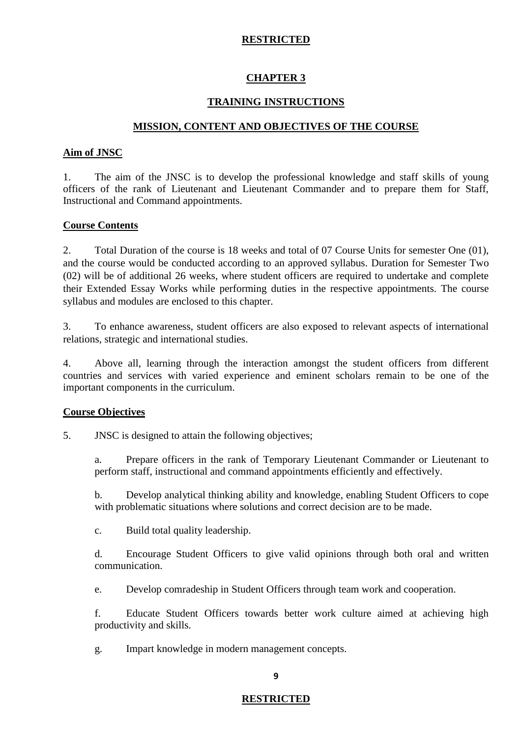# **CHAPTER 3**

## **TRAINING INSTRUCTIONS**

## **MISSION, CONTENT AND OBJECTIVES OF THE COURSE**

## **Aim of JNSC**

1. The aim of the JNSC is to develop the professional knowledge and staff skills of young officers of the rank of Lieutenant and Lieutenant Commander and to prepare them for Staff, Instructional and Command appointments.

### **Course Contents**

2. Total Duration of the course is 18 weeks and total of 07 Course Units for semester One (01), and the course would be conducted according to an approved syllabus. Duration for Semester Two (02) will be of additional 26 weeks, where student officers are required to undertake and complete their Extended Essay Works while performing duties in the respective appointments. The course syllabus and modules are enclosed to this chapter.

3. To enhance awareness, student officers are also exposed to relevant aspects of international relations, strategic and international studies.

4. Above all, learning through the interaction amongst the student officers from different countries and services with varied experience and eminent scholars remain to be one of the important components in the curriculum.

## **Course Objectives**

5. JNSC is designed to attain the following objectives;

a. Prepare officers in the rank of Temporary Lieutenant Commander or Lieutenant to perform staff, instructional and command appointments efficiently and effectively.

b. Develop analytical thinking ability and knowledge, enabling Student Officers to cope with problematic situations where solutions and correct decision are to be made.

c. Build total quality leadership.

d. Encourage Student Officers to give valid opinions through both oral and written communication.

e. Develop comradeship in Student Officers through team work and cooperation.

f. Educate Student Officers towards better work culture aimed at achieving high productivity and skills.

g. Impart knowledge in modern management concepts.

#### **9**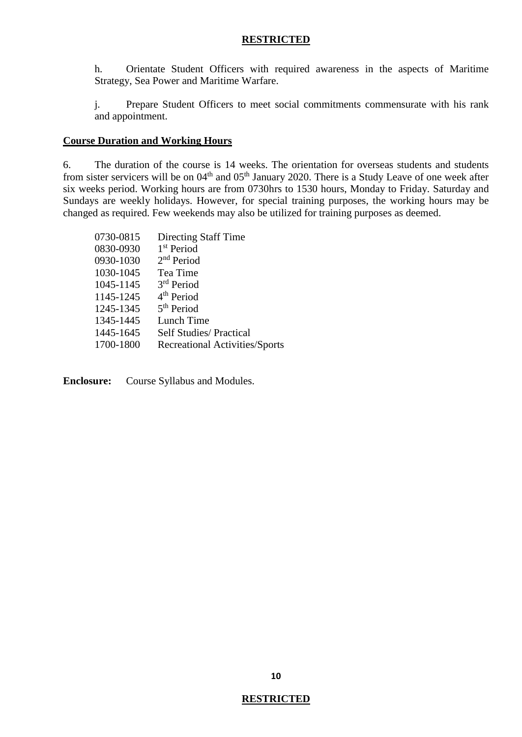h. Orientate Student Officers with required awareness in the aspects of Maritime Strategy, Sea Power and Maritime Warfare.

j. Prepare Student Officers to meet social commitments commensurate with his rank and appointment.

#### **Course Duration and Working Hours**

6. The duration of the course is 14 weeks. The orientation for overseas students and students from sister servicers will be on 04<sup>th</sup> and 05<sup>th</sup> January 2020. There is a Study Leave of one week after six weeks period. Working hours are from 0730hrs to 1530 hours, Monday to Friday. Saturday and Sundays are weekly holidays. However, for special training purposes, the working hours may be changed as required. Few weekends may also be utilized for training purposes as deemed.

| 0730-0815 | Directing Staff Time                  |
|-----------|---------------------------------------|
| 0830-0930 | 1 <sup>st</sup> Period                |
| 0930-1030 | 2 <sup>nd</sup> Period                |
| 1030-1045 | Tea Time                              |
| 1045-1145 | 3rd Period                            |
| 1145-1245 | 4 <sup>th</sup> Period                |
| 1245-1345 | 5 <sup>th</sup> Period                |
| 1345-1445 | Lunch Time                            |
| 1445-1645 | <b>Self Studies/ Practical</b>        |
| 1700-1800 | <b>Recreational Activities/Sports</b> |
|           |                                       |

**Enclosure:** Course Syllabus and Modules.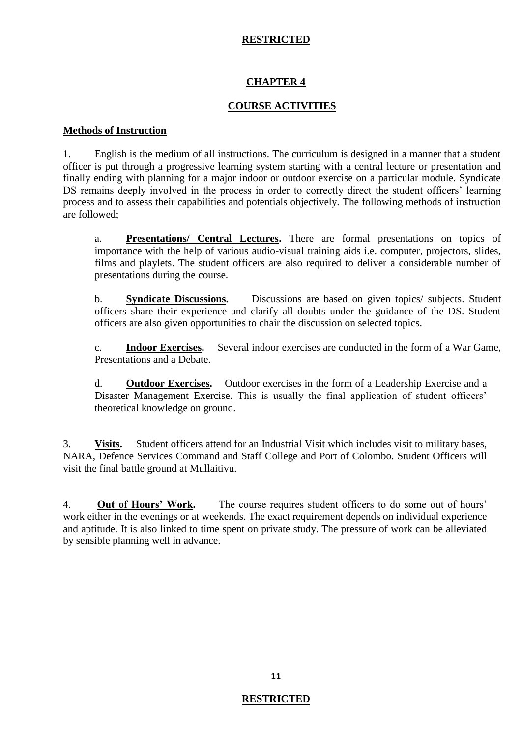# **CHAPTER 4**

### **COURSE ACTIVITIES**

#### **Methods of Instruction**

1. English is the medium of all instructions. The curriculum is designed in a manner that a student officer is put through a progressive learning system starting with a central lecture or presentation and finally ending with planning for a major indoor or outdoor exercise on a particular module. Syndicate DS remains deeply involved in the process in order to correctly direct the student officers' learning process and to assess their capabilities and potentials objectively. The following methods of instruction are followed;

a. **Presentations/ Central Lectures.** There are formal presentations on topics of importance with the help of various audio-visual training aids i.e. computer, projectors, slides, films and playlets. The student officers are also required to deliver a considerable number of presentations during the course.

b. **Syndicate Discussions.** Discussions are based on given topics/ subjects. Student officers share their experience and clarify all doubts under the guidance of the DS. Student officers are also given opportunities to chair the discussion on selected topics.

c. **Indoor Exercises.** Several indoor exercises are conducted in the form of a War Game, Presentations and a Debate.

d. **Outdoor Exercises.** Outdoor exercises in the form of a Leadership Exercise and a Disaster Management Exercise. This is usually the final application of student officers' theoretical knowledge on ground.

3. **Visits.** Student officers attend for an Industrial Visit which includes visit to military bases, NARA, Defence Services Command and Staff College and Port of Colombo. Student Officers will visit the final battle ground at Mullaitivu.

4. **Out of Hours' Work.** The course requires student officers to do some out of hours' work either in the evenings or at weekends. The exact requirement depends on individual experience and aptitude. It is also linked to time spent on private study. The pressure of work can be alleviated by sensible planning well in advance.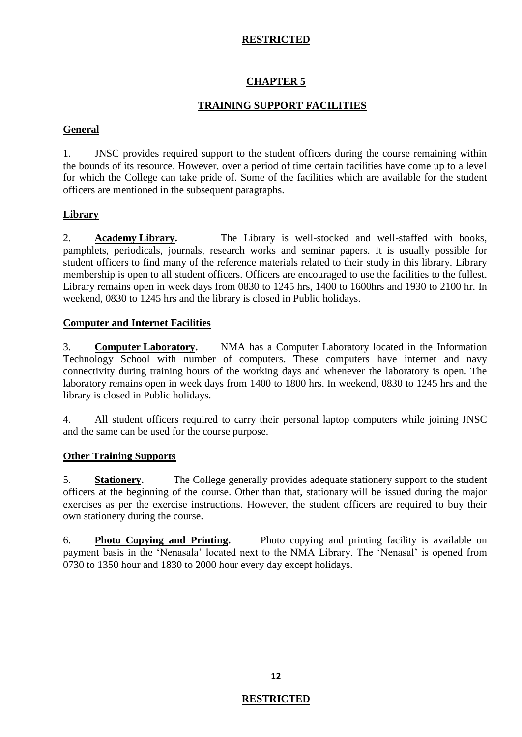# **CHAPTER 5**

# **TRAINING SUPPORT FACILITIES**

## **General**

1. JNSC provides required support to the student officers during the course remaining within the bounds of its resource. However, over a period of time certain facilities have come up to a level for which the College can take pride of. Some of the facilities which are available for the student officers are mentioned in the subsequent paragraphs.

### **Library**

2. **Academy Library.** The Library is well-stocked and well-staffed with books, pamphlets, periodicals, journals, research works and seminar papers. It is usually possible for student officers to find many of the reference materials related to their study in this library. Library membership is open to all student officers. Officers are encouraged to use the facilities to the fullest. Library remains open in week days from 0830 to 1245 hrs, 1400 to 1600hrs and 1930 to 2100 hr. In weekend, 0830 to 1245 hrs and the library is closed in Public holidays.

#### **Computer and Internet Facilities**

3. **Computer Laboratory.** NMA has a Computer Laboratory located in the Information Technology School with number of computers. These computers have internet and navy connectivity during training hours of the working days and whenever the laboratory is open. The laboratory remains open in week days from 1400 to 1800 hrs. In weekend, 0830 to 1245 hrs and the library is closed in Public holidays.

4. All student officers required to carry their personal laptop computers while joining JNSC and the same can be used for the course purpose.

## **Other Training Supports**

5. **Stationery.** The College generally provides adequate stationery support to the student officers at the beginning of the course. Other than that, stationary will be issued during the major exercises as per the exercise instructions. However, the student officers are required to buy their own stationery during the course.

6. **Photo Copying and Printing.** Photo copying and printing facility is available on payment basis in the 'Nenasala' located next to the NMA Library. The 'Nenasal' is opened from 0730 to 1350 hour and 1830 to 2000 hour every day except holidays.

**12**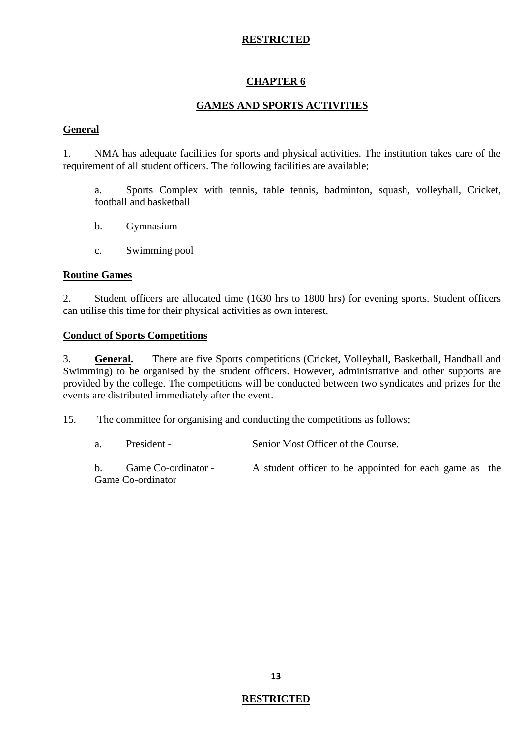## **CHAPTER 6**

# **GAMES AND SPORTS ACTIVITIES**

## **General**

1. NMA has adequate facilities for sports and physical activities. The institution takes care of the requirement of all student officers. The following facilities are available;

a. Sports Complex with tennis, table tennis, badminton, squash, volleyball, Cricket, football and basketball

- b. Gymnasium
- c. Swimming pool

#### **Routine Games**

2. Student officers are allocated time (1630 hrs to 1800 hrs) for evening sports. Student officers can utilise this time for their physical activities as own interest.

### **Conduct of Sports Competitions**

3. **General.** There are five Sports competitions (Cricket, Volleyball, Basketball, Handball and Swimming) to be organised by the student officers. However, administrative and other supports are provided by the college. The competitions will be conducted between two syndicates and prizes for the events are distributed immediately after the event.

15. The committee for organising and conducting the competitions as follows;

a. President - Senior Most Officer of the Course.

b. Game Co-ordinator - A student officer to be appointed for each game as the Game Co-ordinator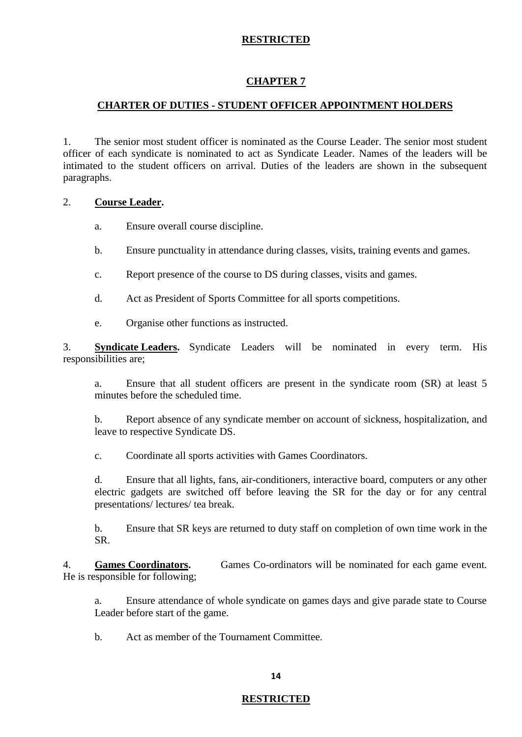## **CHAPTER 7**

# **CHARTER OF DUTIES - STUDENT OFFICER APPOINTMENT HOLDERS**

1. The senior most student officer is nominated as the Course Leader. The senior most student officer of each syndicate is nominated to act as Syndicate Leader. Names of the leaders will be intimated to the student officers on arrival. Duties of the leaders are shown in the subsequent paragraphs.

### 2. **Course Leader.**

- a. Ensure overall course discipline.
- b. Ensure punctuality in attendance during classes, visits, training events and games.
- c. Report presence of the course to DS during classes, visits and games.
- d. Act as President of Sports Committee for all sports competitions.
- e. Organise other functions as instructed.

3. **Syndicate Leaders.** Syndicate Leaders will be nominated in every term. His responsibilities are;

a. Ensure that all student officers are present in the syndicate room (SR) at least 5 minutes before the scheduled time.

b. Report absence of any syndicate member on account of sickness, hospitalization, and leave to respective Syndicate DS.

c. Coordinate all sports activities with Games Coordinators.

d. Ensure that all lights, fans, air-conditioners, interactive board, computers or any other electric gadgets are switched off before leaving the SR for the day or for any central presentations/ lectures/ tea break.

b. Ensure that SR keys are returned to duty staff on completion of own time work in the SR.

4. **Games Coordinators.** Games Co-ordinators will be nominated for each game event. He is responsible for following;

a. Ensure attendance of whole syndicate on games days and give parade state to Course Leader before start of the game.

b. Act as member of the Tournament Committee.

## **14**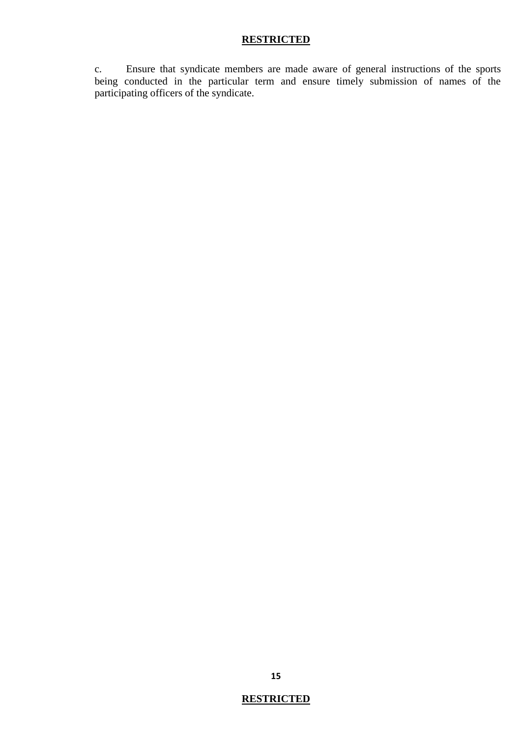c. Ensure that syndicate members are made aware of general instructions of the sports being conducted in the particular term and ensure timely submission of names of the participating officers of the syndicate.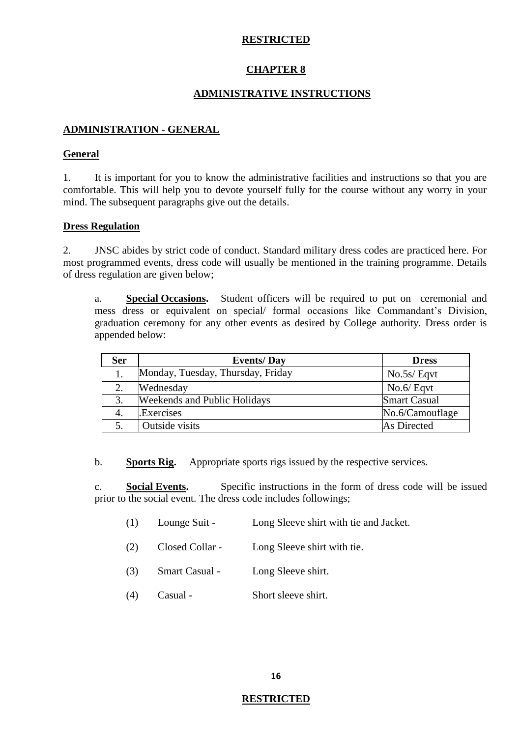## **CHAPTER 8**

### **ADMINISTRATIVE INSTRUCTIONS**

## **ADMINISTRATION - GENERAL**

### **General**

1. It is important for you to know the administrative facilities and instructions so that you are comfortable. This will help you to devote yourself fully for the course without any worry in your mind. The subsequent paragraphs give out the details.

### **Dress Regulation**

2. JNSC abides by strict code of conduct. Standard military dress codes are practiced here. For most programmed events, dress code will usually be mentioned in the training programme. Details of dress regulation are given below;

a. **Special Occasions.** Student officers will be required to put on ceremonial and mess dress or equivalent on special/ formal occasions like Commandant's Division, graduation ceremony for any other events as desired by College authority. Dress order is appended below:

| <b>Ser</b> | <b>Events/Day</b>                   | <b>Dress</b>        |
|------------|-------------------------------------|---------------------|
|            | Monday, Tuesday, Thursday, Friday   | No.5s/Eqvt          |
|            | Wednesday                           | No.6/Eqvt           |
| 3.         | <b>Weekends and Public Holidays</b> | <b>Smart Casual</b> |
| 4.         | .Exercises                          | No.6/Camouflage     |
|            | Outside visits                      | As Directed         |

b. **Sports Rig.** Appropriate sports rigs issued by the respective services.

c. **Social Events.** Specific instructions in the form of dress code will be issued prior to the social event. The dress code includes followings;

- (1) Lounge Suit Long Sleeve shirt with tie and Jacket. (2) Closed Collar - Long Sleeve shirt with tie.
- (3) Smart Casual Long Sleeve shirt.
- (4) Casual Short sleeve shirt.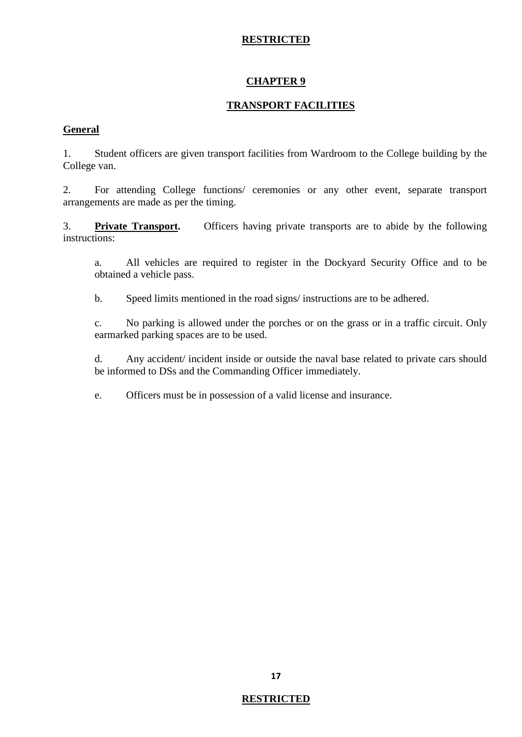## **CHAPTER 9**

### **TRANSPORT FACILITIES**

#### **General**

1. Student officers are given transport facilities from Wardroom to the College building by the College van.

2. For attending College functions/ ceremonies or any other event, separate transport arrangements are made as per the timing.

3. **Private Transport.** Officers having private transports are to abide by the following instructions:

a. All vehicles are required to register in the Dockyard Security Office and to be obtained a vehicle pass.

b. Speed limits mentioned in the road signs/ instructions are to be adhered.

c. No parking is allowed under the porches or on the grass or in a traffic circuit. Only earmarked parking spaces are to be used.

d. Any accident/ incident inside or outside the naval base related to private cars should be informed to DSs and the Commanding Officer immediately.

e. Officers must be in possession of a valid license and insurance.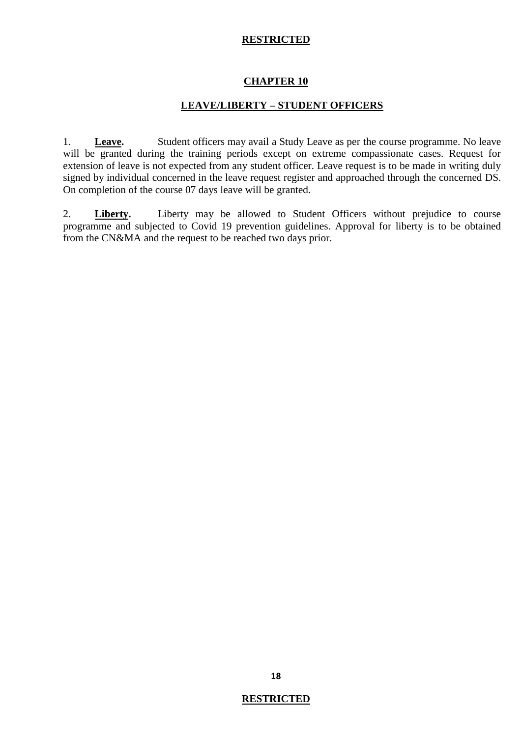#### **CHAPTER 10**

# **LEAVE/LIBERTY – STUDENT OFFICERS**

1. **Leave.** Student officers may avail a Study Leave as per the course programme. No leave will be granted during the training periods except on extreme compassionate cases. Request for extension of leave is not expected from any student officer. Leave request is to be made in writing duly signed by individual concerned in the leave request register and approached through the concerned DS. On completion of the course 07 days leave will be granted.

2. **Liberty.** Liberty may be allowed to Student Officers without prejudice to course programme and subjected to Covid 19 prevention guidelines. Approval for liberty is to be obtained from the CN&MA and the request to be reached two days prior.